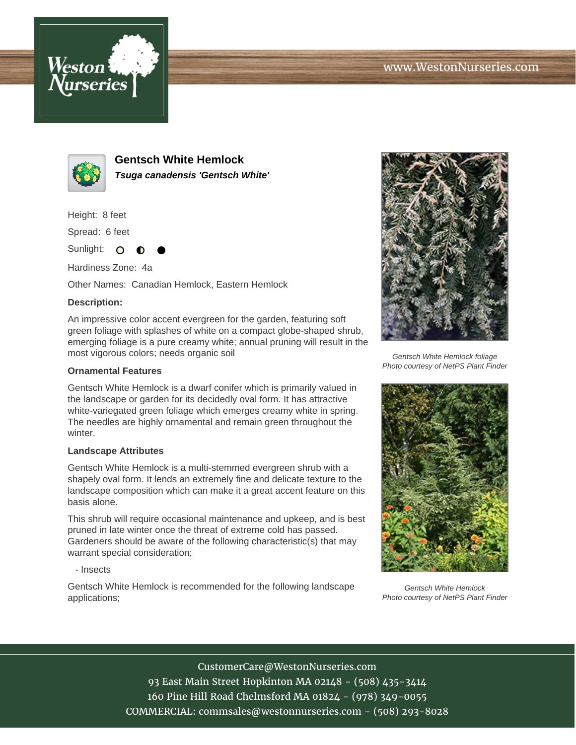



**Gentsch White Hemlock Tsuga canadensis 'Gentsch White'**

Height: 8 feet

Spread: 6 feet

Sunlight: O ∩

Hardiness Zone: 4a

Other Names: Canadian Hemlock, Eastern Hemlock

## **Description:**

An impressive color accent evergreen for the garden, featuring soft green foliage with splashes of white on a compact globe-shaped shrub, emerging foliage is a pure creamy white; annual pruning will result in the most vigorous colors; needs organic soil

## **Ornamental Features**

Gentsch White Hemlock is a dwarf conifer which is primarily valued in the landscape or garden for its decidedly oval form. It has attractive white-variegated green foliage which emerges creamy white in spring. The needles are highly ornamental and remain green throughout the winter.

## **Landscape Attributes**

Gentsch White Hemlock is a multi-stemmed evergreen shrub with a shapely oval form. It lends an extremely fine and delicate texture to the landscape composition which can make it a great accent feature on this basis alone.

This shrub will require occasional maintenance and upkeep, and is best pruned in late winter once the threat of extreme cold has passed. Gardeners should be aware of the following characteristic(s) that may warrant special consideration;

- Insects

Gentsch White Hemlock is recommended for the following landscape applications;



Gentsch White Hemlock foliage Photo courtesy of NetPS Plant Finder



Gentsch White Hemlock Photo courtesy of NetPS Plant Finder

CustomerCare@WestonNurseries.com 93 East Main Street Hopkinton MA 02148 - (508) 435-3414 160 Pine Hill Road Chelmsford MA 01824 - (978) 349-0055 COMMERCIAL: commsales@westonnurseries.com - (508) 293-8028